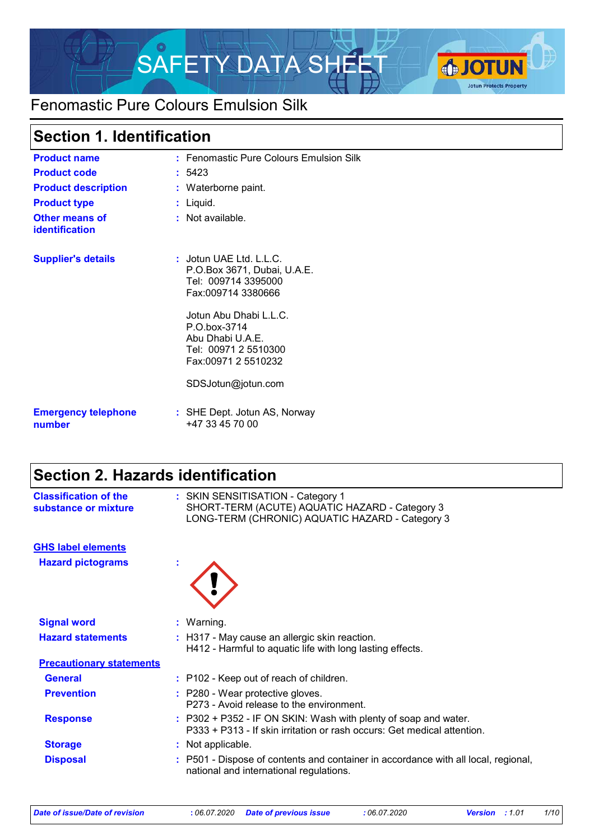

# Fenomastic Pure Colours Emulsion Silk

### **Section 1. Identification**

| <b>Product name</b>                            | : Fenomastic Pure Colours Emulsion Silk                                                                   |
|------------------------------------------------|-----------------------------------------------------------------------------------------------------------|
| <b>Product code</b>                            | :5423                                                                                                     |
| <b>Product description</b>                     | : Waterborne paint.                                                                                       |
| <b>Product type</b>                            | : Liquid.                                                                                                 |
| <b>Other means of</b><br><b>identification</b> | $:$ Not available.                                                                                        |
| <b>Supplier's details</b>                      | $:$ Jotun UAE Ltd. L.L.C.<br>P.O.Box 3671, Dubai, U.A.E.<br>Tel: 009714 3395000<br>Fax:009714 3380666     |
|                                                | Jotun Abu Dhabi L.L.C.<br>P.O.box-3714<br>Abu Dhabi U.A.E.<br>Tel: 00971 2 5510300<br>Fax:00971 2 5510232 |
|                                                | SDSJotun@jotun.com                                                                                        |
| <b>Emergency telephone</b><br>number           | : SHE Dept. Jotun AS, Norway<br>+47 33 45 70 00                                                           |

### **Section 2. Hazards identification**

| <b>Classification of the</b><br>substance or mixture | : SKIN SENSITISATION - Category 1<br>SHORT-TERM (ACUTE) AQUATIC HAZARD - Category 3<br>LONG-TERM (CHRONIC) AQUATIC HAZARD - Category 3       |
|------------------------------------------------------|----------------------------------------------------------------------------------------------------------------------------------------------|
| <b>GHS label elements</b>                            |                                                                                                                                              |
| <b>Hazard pictograms</b>                             |                                                                                                                                              |
| <b>Signal word</b>                                   | : Warning.                                                                                                                                   |
| <b>Hazard statements</b>                             | : H317 - May cause an allergic skin reaction.<br>H412 - Harmful to aquatic life with long lasting effects.                                   |
| <b>Precautionary statements</b>                      |                                                                                                                                              |
| <b>General</b>                                       | : P102 - Keep out of reach of children.                                                                                                      |
| <b>Prevention</b>                                    | : P280 - Wear protective gloves.<br>P273 - Avoid release to the environment.                                                                 |
| <b>Response</b>                                      | $: P302 + P352 - IF ON SKIN: Wash with plenty of soap and water.$<br>P333 + P313 - If skin irritation or rash occurs: Get medical attention. |
| <b>Storage</b>                                       | : Not applicable.                                                                                                                            |
| <b>Disposal</b>                                      | : P501 - Dispose of contents and container in accordance with all local, regional,<br>national and international regulations.                |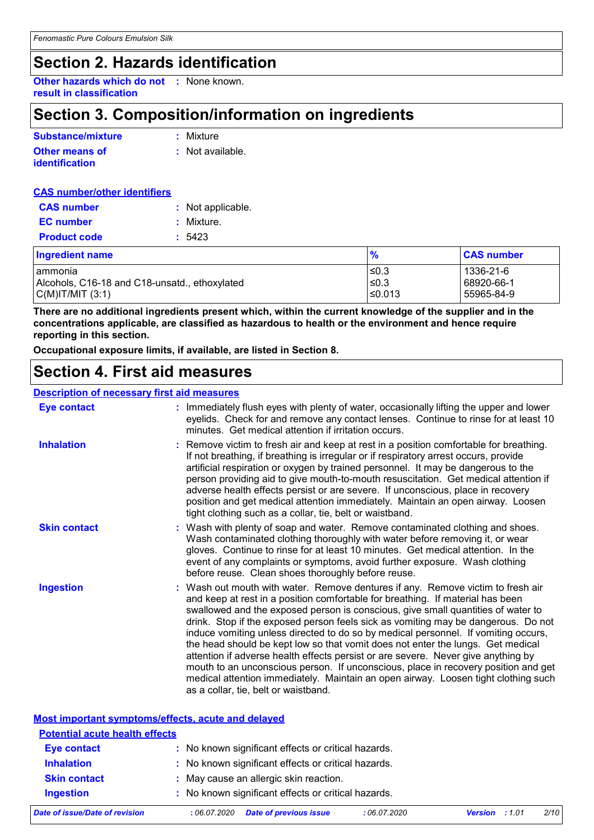## **Section 2. Hazards identification**

**Other hazards which do not :** None known. **result in classification**

### **Section 3. Composition/information on ingredients**

| Substance/mixture                              | : Mixture        |
|------------------------------------------------|------------------|
| <b>Other means of</b><br><i>identification</i> | : Not available. |

| <b>CAS number/other identifiers</b> |                   |
|-------------------------------------|-------------------|
|                                     | : Not applicable. |
|                                     | : Mixture.        |
|                                     | : 5423            |
|                                     |                   |

| <b>Ingredient name</b>                        |        | <b>CAS number</b> |
|-----------------------------------------------|--------|-------------------|
| I ammonia                                     | 50.3   | 1336-21-6         |
| Alcohols, C16-18 and C18-unsatd., ethoxylated | ≤0.3   | 68920-66-1        |
| C(M) T/MIT (3:1)                              | ≤0.013 | 55965-84-9        |

**There are no additional ingredients present which, within the current knowledge of the supplier and in the concentrations applicable, are classified as hazardous to health or the environment and hence require reporting in this section.**

**Occupational exposure limits, if available, are listed in Section 8.**

### **Section 4. First aid measures**

#### **Description of necessary first aid measures**

| <b>Eye contact</b>  | Immediately flush eyes with plenty of water, occasionally lifting the upper and lower<br>eyelids. Check for and remove any contact lenses. Continue to rinse for at least 10<br>minutes. Get medical attention if irritation occurs.                                                                                                                                                                                                                                                                                                                                                                                                                                                                                                                                                                                         |
|---------------------|------------------------------------------------------------------------------------------------------------------------------------------------------------------------------------------------------------------------------------------------------------------------------------------------------------------------------------------------------------------------------------------------------------------------------------------------------------------------------------------------------------------------------------------------------------------------------------------------------------------------------------------------------------------------------------------------------------------------------------------------------------------------------------------------------------------------------|
| <b>Inhalation</b>   | Remove victim to fresh air and keep at rest in a position comfortable for breathing.<br>If not breathing, if breathing is irregular or if respiratory arrest occurs, provide<br>artificial respiration or oxygen by trained personnel. It may be dangerous to the<br>person providing aid to give mouth-to-mouth resuscitation. Get medical attention if<br>adverse health effects persist or are severe. If unconscious, place in recovery<br>position and get medical attention immediately. Maintain an open airway. Loosen<br>tight clothing such as a collar, tie, belt or waistband.                                                                                                                                                                                                                                   |
| <b>Skin contact</b> | : Wash with plenty of soap and water. Remove contaminated clothing and shoes.<br>Wash contaminated clothing thoroughly with water before removing it, or wear<br>gloves. Continue to rinse for at least 10 minutes. Get medical attention. In the<br>event of any complaints or symptoms, avoid further exposure. Wash clothing<br>before reuse. Clean shoes thoroughly before reuse.                                                                                                                                                                                                                                                                                                                                                                                                                                        |
| <b>Ingestion</b>    | : Wash out mouth with water. Remove dentures if any. Remove victim to fresh air<br>and keep at rest in a position comfortable for breathing. If material has been<br>swallowed and the exposed person is conscious, give small quantities of water to<br>drink. Stop if the exposed person feels sick as vomiting may be dangerous. Do not<br>induce vomiting unless directed to do so by medical personnel. If vomiting occurs,<br>the head should be kept low so that vomit does not enter the lungs. Get medical<br>attention if adverse health effects persist or are severe. Never give anything by<br>mouth to an unconscious person. If unconscious, place in recovery position and get<br>medical attention immediately. Maintain an open airway. Loosen tight clothing such<br>as a collar, tie, belt or waistband. |

| Most important symptoms/effects, acute and delayed |                                                     |  |  |
|----------------------------------------------------|-----------------------------------------------------|--|--|
| <b>Potential acute health effects</b>              |                                                     |  |  |
| <b>Eye contact</b>                                 | : No known significant effects or critical hazards. |  |  |
| <b>Inhalation</b>                                  | : No known significant effects or critical hazards. |  |  |
| <b>Skin contact</b>                                | : May cause an allergic skin reaction.              |  |  |
| <b>Ingestion</b>                                   | : No known significant effects or critical hazards. |  |  |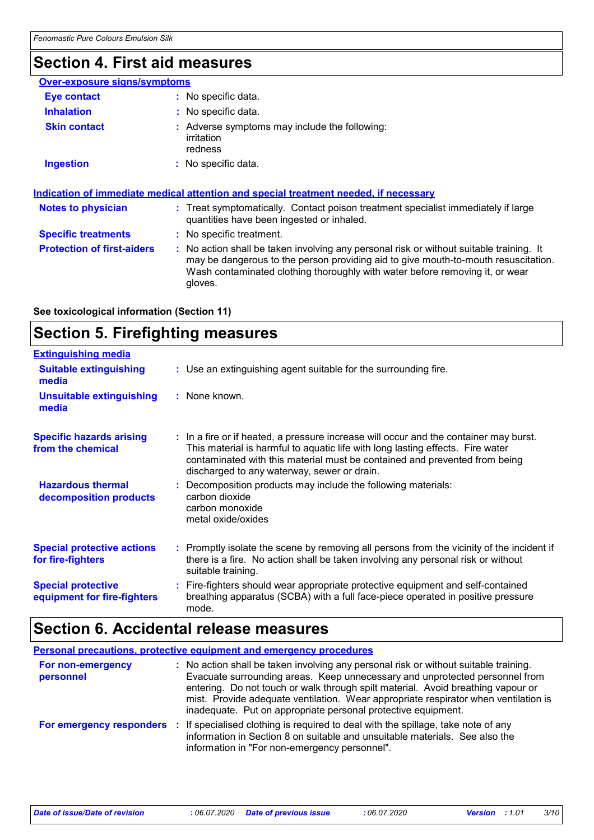# **Section 4. First aid measures**

| <b>Over-exposure signs/symptoms</b> |                                                                                                                                                                                                                                                                          |
|-------------------------------------|--------------------------------------------------------------------------------------------------------------------------------------------------------------------------------------------------------------------------------------------------------------------------|
| Eye contact                         | : No specific data.                                                                                                                                                                                                                                                      |
| <b>Inhalation</b>                   | : No specific data.                                                                                                                                                                                                                                                      |
| <b>Skin contact</b>                 | : Adverse symptoms may include the following:<br><i>irritation</i><br>redness                                                                                                                                                                                            |
| <b>Ingestion</b>                    | : No specific data.                                                                                                                                                                                                                                                      |
| <b>Notes to physician</b>           | <u>Indication of immediate medical attention and special treatment needed, if necessary</u><br>: Treat symptomatically. Contact poison treatment specialist immediately if large<br>quantities have been ingested or inhaled.                                            |
| <b>Specific treatments</b>          | : No specific treatment.                                                                                                                                                                                                                                                 |
| <b>Protection of first-aiders</b>   | : No action shall be taken involving any personal risk or without suitable training. It<br>may be dangerous to the person providing aid to give mouth-to-mouth resuscitation.<br>Wash contaminated clothing thoroughly with water before removing it, or wear<br>gloves. |

**See toxicological information (Section 11)**

# **Section 5. Firefighting measures**

| <b>Extinguishing media</b>                               |                                                                                                                                                                                                                                                                                                      |
|----------------------------------------------------------|------------------------------------------------------------------------------------------------------------------------------------------------------------------------------------------------------------------------------------------------------------------------------------------------------|
| <b>Suitable extinguishing</b><br>media                   | : Use an extinguishing agent suitable for the surrounding fire.                                                                                                                                                                                                                                      |
| <b>Unsuitable extinguishing</b><br>media                 | : None known.                                                                                                                                                                                                                                                                                        |
| <b>Specific hazards arising</b><br>from the chemical     | : In a fire or if heated, a pressure increase will occur and the container may burst.<br>This material is harmful to aquatic life with long lasting effects. Fire water<br>contaminated with this material must be contained and prevented from being<br>discharged to any waterway, sewer or drain. |
| <b>Hazardous thermal</b><br>decomposition products       | : Decomposition products may include the following materials:<br>carbon dioxide<br>carbon monoxide<br>metal oxide/oxides                                                                                                                                                                             |
| <b>Special protective actions</b><br>for fire-fighters   | : Promptly isolate the scene by removing all persons from the vicinity of the incident if<br>there is a fire. No action shall be taken involving any personal risk or without<br>suitable training.                                                                                                  |
| <b>Special protective</b><br>equipment for fire-fighters | : Fire-fighters should wear appropriate protective equipment and self-contained<br>breathing apparatus (SCBA) with a full face-piece operated in positive pressure<br>mode.                                                                                                                          |

# **Section 6. Accidental release measures**

| <b>Personal precautions, protective equipment and emergency procedures</b> |                                                                                                                                                                                                                                                                                                                                                                                                                 |  |
|----------------------------------------------------------------------------|-----------------------------------------------------------------------------------------------------------------------------------------------------------------------------------------------------------------------------------------------------------------------------------------------------------------------------------------------------------------------------------------------------------------|--|
| For non-emergency<br>personnel                                             | : No action shall be taken involving any personal risk or without suitable training.<br>Evacuate surrounding areas. Keep unnecessary and unprotected personnel from<br>entering. Do not touch or walk through spilt material. Avoid breathing vapour or<br>mist. Provide adequate ventilation. Wear appropriate respirator when ventilation is<br>inadequate. Put on appropriate personal protective equipment. |  |
|                                                                            | For emergency responders : If specialised clothing is required to deal with the spillage, take note of any<br>information in Section 8 on suitable and unsuitable materials. See also the<br>information in "For non-emergency personnel".                                                                                                                                                                      |  |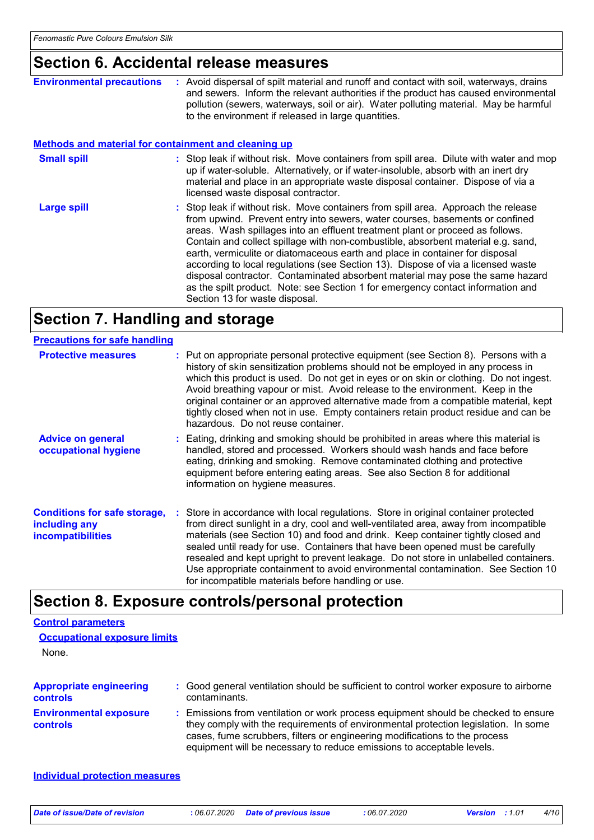### **Section 6. Accidental release measures**

|                                                             | OUNUNI UI / IUUNUNIIIUN TURUUU IIIUUUUN U                                                                                                                                                                                                                                                                                                                                                                                                                                                                                                                                                                                                                                                                         |
|-------------------------------------------------------------|-------------------------------------------------------------------------------------------------------------------------------------------------------------------------------------------------------------------------------------------------------------------------------------------------------------------------------------------------------------------------------------------------------------------------------------------------------------------------------------------------------------------------------------------------------------------------------------------------------------------------------------------------------------------------------------------------------------------|
| <b>Environmental precautions</b>                            | : Avoid dispersal of spilt material and runoff and contact with soil, waterways, drains<br>and sewers. Inform the relevant authorities if the product has caused environmental<br>pollution (sewers, waterways, soil or air). Water polluting material. May be harmful<br>to the environment if released in large quantities.                                                                                                                                                                                                                                                                                                                                                                                     |
| <b>Methods and material for containment and cleaning up</b> |                                                                                                                                                                                                                                                                                                                                                                                                                                                                                                                                                                                                                                                                                                                   |
| <b>Small spill</b>                                          | : Stop leak if without risk. Move containers from spill area. Dilute with water and mop<br>up if water-soluble. Alternatively, or if water-insoluble, absorb with an inert dry<br>material and place in an appropriate waste disposal container. Dispose of via a<br>licensed waste disposal contractor.                                                                                                                                                                                                                                                                                                                                                                                                          |
| Large spill                                                 | : Stop leak if without risk. Move containers from spill area. Approach the release<br>from upwind. Prevent entry into sewers, water courses, basements or confined<br>areas. Wash spillages into an effluent treatment plant or proceed as follows.<br>Contain and collect spillage with non-combustible, absorbent material e.g. sand,<br>earth, vermiculite or diatomaceous earth and place in container for disposal<br>according to local regulations (see Section 13). Dispose of via a licensed waste<br>disposal contractor. Contaminated absorbent material may pose the same hazard<br>as the spilt product. Note: see Section 1 for emergency contact information and<br>Section 13 for waste disposal. |

### **Section 7. Handling and storage**

#### **Advice on general occupational hygiene Conditions for safe storage, : Store in accordance with local regulations. Store in original container protected including any incompatibilities** Eating, drinking and smoking should be prohibited in areas where this material is **:** handled, stored and processed. Workers should wash hands and face before eating, drinking and smoking. Remove contaminated clothing and protective equipment before entering eating areas. See also Section 8 for additional information on hygiene measures. from direct sunlight in a dry, cool and well-ventilated area, away from incompatible materials (see Section 10) and food and drink. Keep container tightly closed and sealed until ready for use. Containers that have been opened must be carefully resealed and kept upright to prevent leakage. Do not store in unlabelled containers. Use appropriate containment to avoid environmental contamination. See Section 10 for incompatible materials before handling or use. **Protective measures** : Put on appropriate personal protective equipment (see Section 8). Persons with a **Protestion** history of skin sensitization problems should not be employed in any process in which this product is used. Do not get in eyes or on skin or clothing. Do not ingest. Avoid breathing vapour or mist. Avoid release to the environment. Keep in the original container or an approved alternative made from a compatible material, kept tightly closed when not in use. Empty containers retain product residue and can be hazardous. Do not reuse container. **Precautions for safe handling**

### **Section 8. Exposure controls/personal protection**

| <b>Control parameters</b><br><b>Occupational exposure limits</b><br>None. |                                                                                                                                                                                                                                                                                                                                 |
|---------------------------------------------------------------------------|---------------------------------------------------------------------------------------------------------------------------------------------------------------------------------------------------------------------------------------------------------------------------------------------------------------------------------|
| <b>Appropriate engineering</b><br>controls                                | : Good general ventilation should be sufficient to control worker exposure to airborne<br>contaminants.                                                                                                                                                                                                                         |
| <b>Environmental exposure</b><br>controls                                 | : Emissions from ventilation or work process equipment should be checked to ensure<br>they comply with the requirements of environmental protection legislation. In some<br>cases, fume scrubbers, filters or engineering modifications to the process<br>equipment will be necessary to reduce emissions to acceptable levels. |
| <b>Individual protection measures</b>                                     |                                                                                                                                                                                                                                                                                                                                 |

*Date of issue/Date of revision* **:** *06.07.2020 Date of previous issue : 06.07.2020 Version : 1.01 4/10*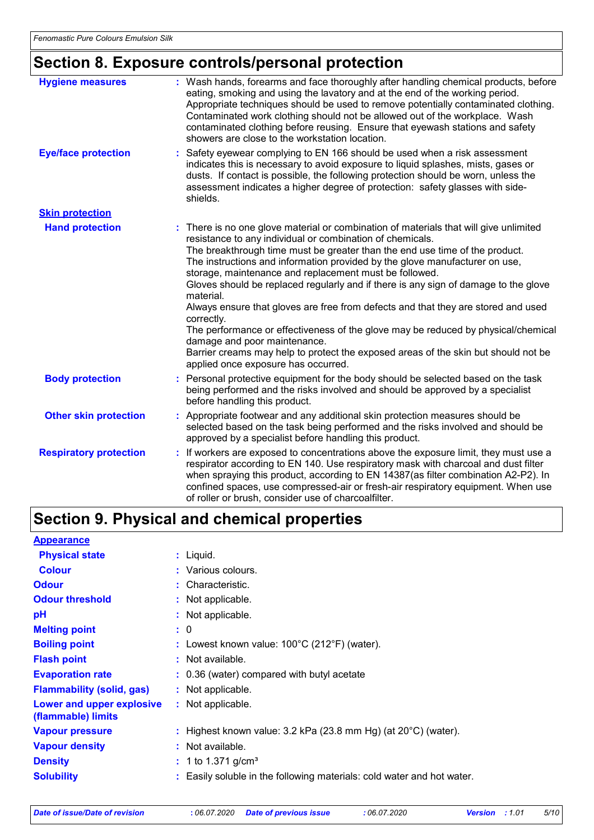# **Section 8. Exposure controls/personal protection**

| <b>Hygiene measures</b>       | : Wash hands, forearms and face thoroughly after handling chemical products, before<br>eating, smoking and using the lavatory and at the end of the working period.<br>Appropriate techniques should be used to remove potentially contaminated clothing.<br>Contaminated work clothing should not be allowed out of the workplace. Wash<br>contaminated clothing before reusing. Ensure that eyewash stations and safety<br>showers are close to the workstation location. |
|-------------------------------|-----------------------------------------------------------------------------------------------------------------------------------------------------------------------------------------------------------------------------------------------------------------------------------------------------------------------------------------------------------------------------------------------------------------------------------------------------------------------------|
| <b>Eye/face protection</b>    | Safety eyewear complying to EN 166 should be used when a risk assessment<br>indicates this is necessary to avoid exposure to liquid splashes, mists, gases or<br>dusts. If contact is possible, the following protection should be worn, unless the<br>assessment indicates a higher degree of protection: safety glasses with side-<br>shields.                                                                                                                            |
| <b>Skin protection</b>        |                                                                                                                                                                                                                                                                                                                                                                                                                                                                             |
| <b>Hand protection</b>        | : There is no one glove material or combination of materials that will give unlimited<br>resistance to any individual or combination of chemicals.                                                                                                                                                                                                                                                                                                                          |
|                               | The breakthrough time must be greater than the end use time of the product.<br>The instructions and information provided by the glove manufacturer on use,<br>storage, maintenance and replacement must be followed.                                                                                                                                                                                                                                                        |
|                               | Gloves should be replaced regularly and if there is any sign of damage to the glove<br>material.                                                                                                                                                                                                                                                                                                                                                                            |
|                               | Always ensure that gloves are free from defects and that they are stored and used<br>correctly.                                                                                                                                                                                                                                                                                                                                                                             |
|                               | The performance or effectiveness of the glove may be reduced by physical/chemical<br>damage and poor maintenance.                                                                                                                                                                                                                                                                                                                                                           |
|                               | Barrier creams may help to protect the exposed areas of the skin but should not be<br>applied once exposure has occurred.                                                                                                                                                                                                                                                                                                                                                   |
| <b>Body protection</b>        | Personal protective equipment for the body should be selected based on the task<br>being performed and the risks involved and should be approved by a specialist<br>before handling this product.                                                                                                                                                                                                                                                                           |
| <b>Other skin protection</b>  | : Appropriate footwear and any additional skin protection measures should be<br>selected based on the task being performed and the risks involved and should be<br>approved by a specialist before handling this product.                                                                                                                                                                                                                                                   |
| <b>Respiratory protection</b> | : If workers are exposed to concentrations above the exposure limit, they must use a<br>respirator according to EN 140. Use respiratory mask with charcoal and dust filter<br>when spraying this product, according to EN 14387(as filter combination A2-P2). In<br>confined spaces, use compressed-air or fresh-air respiratory equipment. When use<br>of roller or brush, consider use of charcoalfilter.                                                                 |

# **Section 9. Physical and chemical properties**

| <b>Appearance</b>                               |                                                                            |
|-------------------------------------------------|----------------------------------------------------------------------------|
| <b>Physical state</b>                           | $:$ Liquid.                                                                |
| <b>Colour</b>                                   | : Various colours.                                                         |
| <b>Odour</b>                                    | $:$ Characteristic.                                                        |
| <b>Odour threshold</b>                          | : Not applicable.                                                          |
| рH                                              | : Not applicable.                                                          |
| <b>Melting point</b>                            | : 0                                                                        |
| <b>Boiling point</b>                            | : Lowest known value: $100^{\circ}$ C (212 $^{\circ}$ F) (water).          |
| <b>Flash point</b>                              | : Not available.                                                           |
| <b>Evaporation rate</b>                         | $\therefore$ 0.36 (water) compared with butyl acetate                      |
| <b>Flammability (solid, gas)</b>                | : Not applicable.                                                          |
| Lower and upper explosive<br>(flammable) limits | : Not applicable.                                                          |
| <b>Vapour pressure</b>                          | : Highest known value: $3.2$ kPa (23.8 mm Hg) (at $20^{\circ}$ C) (water). |
| <b>Vapour density</b>                           | : Not available.                                                           |
| <b>Density</b>                                  | $: 1$ to 1.371 g/cm <sup>3</sup>                                           |
| <b>Solubility</b>                               | : Easily soluble in the following materials: cold water and hot water.     |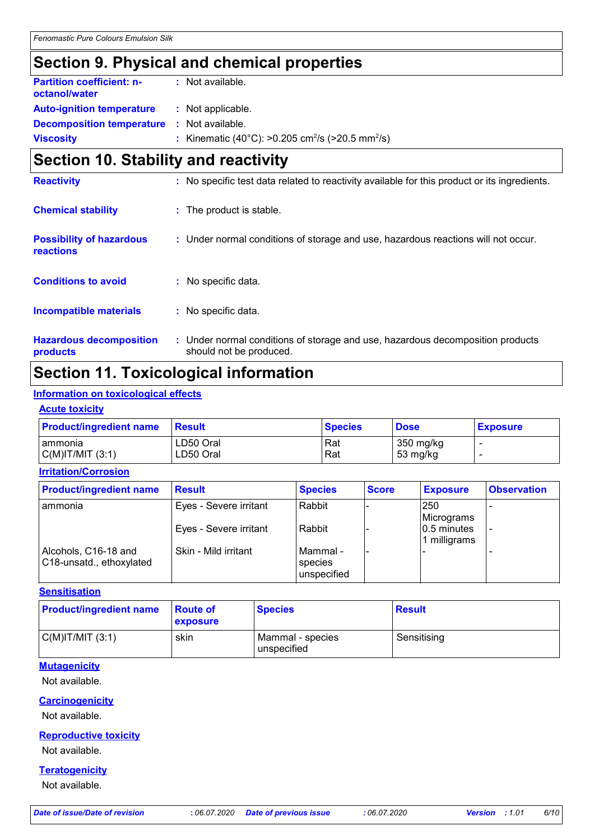## **Section 9. Physical and chemical properties**

| <b>Partition coefficient: n-</b><br>octanol/water | : Not available.                                                         |
|---------------------------------------------------|--------------------------------------------------------------------------|
| <b>Auto-ignition temperature</b>                  | : Not applicable.                                                        |
| <b>Decomposition temperature : Not available.</b> |                                                                          |
| <b>Viscosity</b>                                  | : Kinematic (40°C): >0.205 cm <sup>2</sup> /s (>20.5 mm <sup>2</sup> /s) |

# **Section 10. Stability and reactivity**

| <b>Reactivity</b>                            | : No specific test data related to reactivity available for this product or its ingredients.              |
|----------------------------------------------|-----------------------------------------------------------------------------------------------------------|
| <b>Chemical stability</b>                    | : The product is stable.                                                                                  |
| <b>Possibility of hazardous</b><br>reactions | : Under normal conditions of storage and use, hazardous reactions will not occur.                         |
| <b>Conditions to avoid</b>                   | : No specific data.                                                                                       |
| <b>Incompatible materials</b>                | No specific data.<br>÷.                                                                                   |
| <b>Hazardous decomposition</b><br>products   | : Under normal conditions of storage and use, hazardous decomposition products<br>should not be produced. |

# **Section 11. Toxicological information**

#### **Information on toxicological effects**

#### **Acute toxicity**

| <b>Product/ingredient name</b> | ⊪Result   | <b>Species</b> | <b>Dose</b> | <b>Exposure</b> |
|--------------------------------|-----------|----------------|-------------|-----------------|
| I ammonia                      | LD50 Oral | Rat            | 350 mg/kg   |                 |
| $C(M)$ IT/MIT $(3:1)$          | LD50 Oral | Rat            | 53 mg/kg    |                 |

**Irritation/Corrosion**

| <b>Product/ingredient name</b>                   | <b>Result</b>          | <b>Species</b>                              | <b>Score</b> | <b>Exposure</b>             | <b>Observation</b> |
|--------------------------------------------------|------------------------|---------------------------------------------|--------------|-----------------------------|--------------------|
| I ammonia                                        | Eyes - Severe irritant | Rabbit                                      |              | 250<br>Micrograms           |                    |
|                                                  | Eyes - Severe irritant | Rabbit                                      |              | 0.5 minutes<br>1 milligrams |                    |
| Alcohols, C16-18 and<br>C18-unsatd., ethoxylated | Skin - Mild irritant   | l Mammal -<br><b>Species</b><br>unspecified |              |                             |                    |

#### **Sensitisation**

| <b>Product/ingredient name</b> | <b>Route of</b><br><b>exposure</b> | <b>Species</b>                  | <b>Result</b> |
|--------------------------------|------------------------------------|---------------------------------|---------------|
| $C(M)$ T/MIT $(3:1)$           | skin                               | Mammal - species<br>unspecified | Sensitising   |

#### **Mutagenicity**

Not available.

#### **Carcinogenicity**

Not available.

#### **Reproductive toxicity**

Not available.

#### **Teratogenicity**

Not available.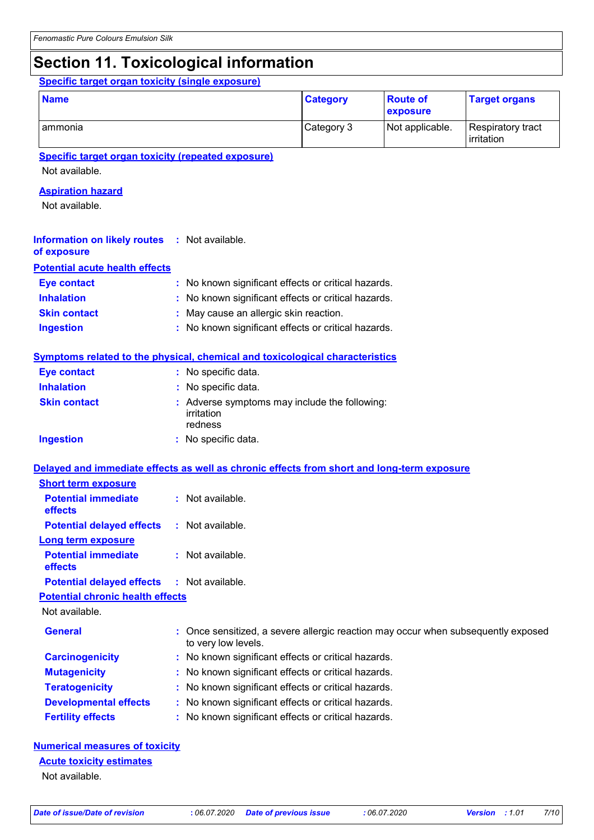# **Section 11. Toxicological information**

#### **Specific target organ toxicity (single exposure)**

| <b>Name</b> | <b>Category</b> | <b>Route of</b><br><b>exposure</b> | <b>Target organs</b>            |
|-------------|-----------------|------------------------------------|---------------------------------|
| l ammonia   | Category 3      | Not applicable.                    | Respiratory tract<br>irritation |

**Specific target organ toxicity (repeated exposure)**

Not available.

#### **Aspiration hazard**

Not available.

| <b>Information on likely routes : Not available.</b> |  |  |
|------------------------------------------------------|--|--|
|                                                      |  |  |

#### **of exposure Potential acute health effects**

| <b>Eye contact</b>  | : No known significant effects or critical hazards. |
|---------------------|-----------------------------------------------------|
| <b>Inhalation</b>   | : No known significant effects or critical hazards. |
| <b>Skin contact</b> | : May cause an allergic skin reaction.              |
| <b>Ingestion</b>    | : No known significant effects or critical hazards. |

#### **Symptoms related to the physical, chemical and toxicological characteristics**

| Eye contact         | : No specific data.                                                    |
|---------------------|------------------------------------------------------------------------|
| <b>Inhalation</b>   | : No specific data.                                                    |
| <b>Skin contact</b> | : Adverse symptoms may include the following:<br>irritation<br>redness |
| <b>Ingestion</b>    | : No specific data.                                                    |

#### **Delayed and immediate effects as well as chronic effects from short and long-term exposure**

| <b>Short term exposure</b>            |                      |
|---------------------------------------|----------------------|
| <b>Potential immediate</b><br>effects | Not available.<br>t. |
| <b>Potential delayed effects</b>      | : Not available.     |
| Long term exposure                    |                      |
| <b>Potential immediate</b><br>effects | Not available<br>ŧ.  |
| <b>Potential delayed effects</b>      | : Not available.     |

#### **Potential chronic health effects**

Not available.

| <b>General</b>               | : Once sensitized, a severe allergic reaction may occur when subsequently exposed<br>to very low levels. |
|------------------------------|----------------------------------------------------------------------------------------------------------|
| <b>Carcinogenicity</b>       | : No known significant effects or critical hazards.                                                      |
| <b>Mutagenicity</b>          | : No known significant effects or critical hazards.                                                      |
| <b>Teratogenicity</b>        | : No known significant effects or critical hazards.                                                      |
| <b>Developmental effects</b> | : No known significant effects or critical hazards.                                                      |
| <b>Fertility effects</b>     | : No known significant effects or critical hazards.                                                      |

#### **Numerical measures of toxicity**

#### **Acute toxicity estimates**

Not available.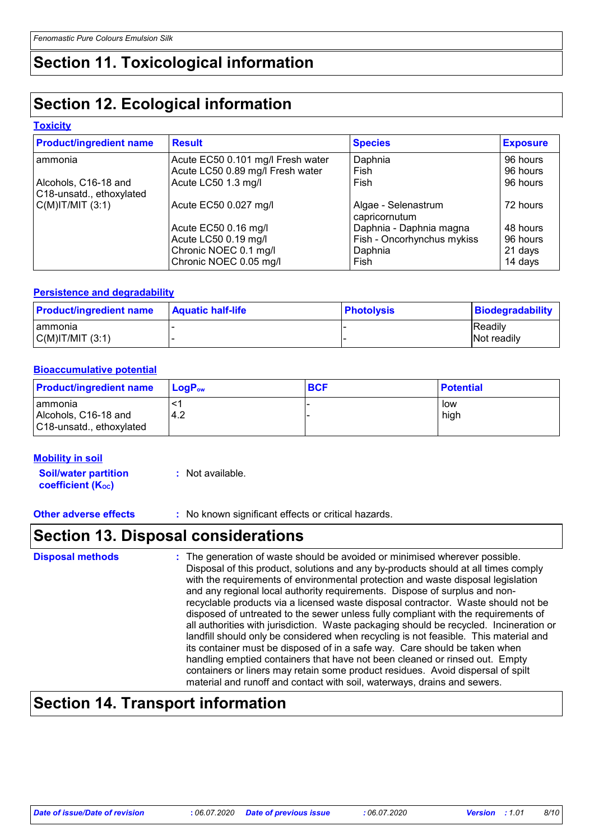# **Section 11. Toxicological information**

# **Section 12. Ecological information**

#### **Toxicity**

| <b>Product/ingredient name</b>                   | <b>Result</b>                     | <b>Species</b>                       | <b>Exposure</b> |
|--------------------------------------------------|-----------------------------------|--------------------------------------|-----------------|
| ammonia                                          | Acute EC50 0.101 mg/l Fresh water | Daphnia                              | 96 hours        |
|                                                  | Acute LC50 0.89 mg/l Fresh water  | Fish                                 | 96 hours        |
| Alcohols, C16-18 and<br>C18-unsatd., ethoxylated | Acute LC50 1.3 mg/l               | Fish                                 | 96 hours        |
| $C(M)$ IT/MIT $(3:1)$                            | Acute EC50 0.027 mg/l             | Algae - Selenastrum<br>capricornutum | 72 hours        |
|                                                  | Acute EC50 0.16 mg/l              | Daphnia - Daphnia magna              | 48 hours        |
|                                                  | Acute LC50 0.19 mg/l              | Fish - Oncorhynchus mykiss           | 96 hours        |
|                                                  | Chronic NOEC 0.1 mg/l             | Daphnia                              | 21 days         |
|                                                  | Chronic NOEC 0.05 mg/l            | Fish                                 | 14 days         |

#### **Persistence and degradability**

| <b>Product/ingredient name</b> | <b>Aquatic half-life</b> | <b>Photolysis</b> | <b>Biodegradability</b> |
|--------------------------------|--------------------------|-------------------|-------------------------|
| I ammonia                      |                          |                   | <b>Readily</b>          |
| C(M) T/M T(3:1)                |                          |                   | <b>Not readily</b>      |

#### **Bioaccumulative potential**

| <b>Product/ingredient name</b>                                | $\blacksquare$ LogP <sub>ow</sub> | <b>BCF</b> | <b>Potential</b> |
|---------------------------------------------------------------|-----------------------------------|------------|------------------|
| I ammonia<br>Alcohols, C16-18 and<br>C18-unsatd., ethoxylated | 4.2                               |            | low<br>high      |

#### **Mobility in soil**

**Soil/water partition coefficient (KOC)**

**:** Not available.

**Other adverse effects** : No known significant effects or critical hazards.

### **Section 13. Disposal considerations**

The generation of waste should be avoided or minimised wherever possible. Disposal of this product, solutions and any by-products should at all times comply with the requirements of environmental protection and waste disposal legislation and any regional local authority requirements. Dispose of surplus and nonrecyclable products via a licensed waste disposal contractor. Waste should not be disposed of untreated to the sewer unless fully compliant with the requirements of all authorities with jurisdiction. Waste packaging should be recycled. Incineration or landfill should only be considered when recycling is not feasible. This material and its container must be disposed of in a safe way. Care should be taken when handling emptied containers that have not been cleaned or rinsed out. Empty containers or liners may retain some product residues. Avoid dispersal of spilt material and runoff and contact with soil, waterways, drains and sewers. **Disposal methods :**

### **Section 14. Transport information**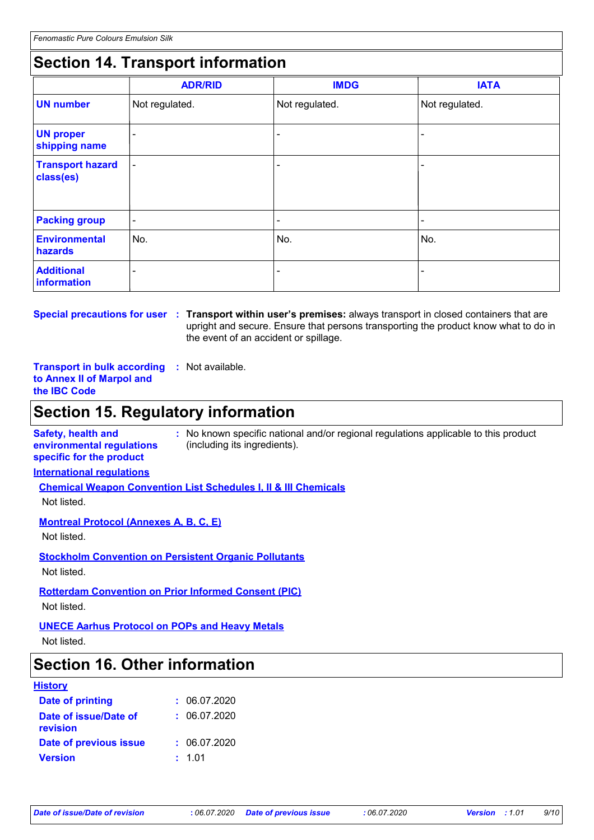# **Section 14. Transport information**

|                                      | <b>ADR/RID</b> | <b>IMDG</b>    | <b>IATA</b>    |
|--------------------------------------|----------------|----------------|----------------|
| <b>UN number</b>                     | Not regulated. | Not regulated. | Not regulated. |
| <b>UN proper</b><br>shipping name    | ٠              |                |                |
| <b>Transport hazard</b><br>class(es) | ٠              |                |                |
| <b>Packing group</b>                 | $\sim$         | $\blacksquare$ | ۰              |
| <b>Environmental</b><br>hazards      | No.            | No.            | No.            |
| <b>Additional</b><br>information     | -              |                |                |

**Special precautions for user Transport within user's premises:** always transport in closed containers that are **:** upright and secure. Ensure that persons transporting the product know what to do in the event of an accident or spillage.

**Transport in bulk according :** Not available. **to Annex II of Marpol and the IBC Code**

## **Section 15. Regulatory information**

**Safety, health and environmental regulations specific for the product**

**:** No known specific national and/or regional regulations applicable to this product (including its ingredients).

#### **International regulations**

**Chemical Weapon Convention List Schedules I, II & III Chemicals**

Not listed.

#### **Montreal Protocol (Annexes A, B, C, E)**

Not listed.

**Stockholm Convention on Persistent Organic Pollutants**

Not listed.

#### **Rotterdam Convention on Prior Informed Consent (PIC)**

Not listed.

#### **UNECE Aarhus Protocol on POPs and Heavy Metals**

Not listed.

### **Section 16. Other information**

#### **History**

| Date of printing                  | : 06.07.2020 |
|-----------------------------------|--------------|
| Date of issue/Date of<br>revision | : 06.07.2020 |
| <b>Date of previous issue</b>     | : 06.07.2020 |
| <b>Version</b>                    | : 1.01       |